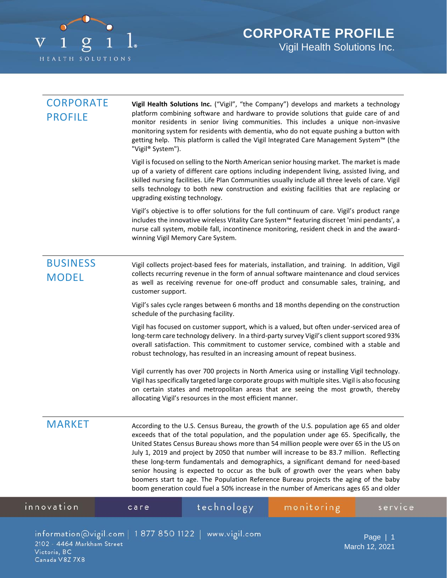

| <b>CORPORATE</b><br><b>PROFILE</b>                           | Vigil Health Solutions Inc. ("Vigil", "the Company") develops and markets a technology<br>platform combining software and hardware to provide solutions that guide care of and<br>monitor residents in senior living communities. This includes a unique non-invasive<br>monitoring system for residents with dementia, who do not equate pushing a button with<br>getting help. This platform is called the Vigil Integrated Care Management System™ (the<br>"Vigil® System").                                                                                                                                                                                                                                                           |                             |  |  |
|--------------------------------------------------------------|-------------------------------------------------------------------------------------------------------------------------------------------------------------------------------------------------------------------------------------------------------------------------------------------------------------------------------------------------------------------------------------------------------------------------------------------------------------------------------------------------------------------------------------------------------------------------------------------------------------------------------------------------------------------------------------------------------------------------------------------|-----------------------------|--|--|
|                                                              | Vigil is focused on selling to the North American senior housing market. The market is made<br>up of a variety of different care options including independent living, assisted living, and<br>skilled nursing facilities. Life Plan Communities usually include all three levels of care. Vigil<br>sells technology to both new construction and existing facilities that are replacing or<br>upgrading existing technology.                                                                                                                                                                                                                                                                                                             |                             |  |  |
|                                                              | Vigil's objective is to offer solutions for the full continuum of care. Vigil's product range<br>includes the innovative wireless Vitality Care System™ featuring discreet 'mini pendants', a<br>nurse call system, mobile fall, incontinence monitoring, resident check in and the award-<br>winning Vigil Memory Care System.                                                                                                                                                                                                                                                                                                                                                                                                           |                             |  |  |
| <b>BUSINESS</b><br><b>MODEL</b>                              | Vigil collects project-based fees for materials, installation, and training. In addition, Vigil<br>collects recurring revenue in the form of annual software maintenance and cloud services<br>as well as receiving revenue for one-off product and consumable sales, training, and<br>customer support.                                                                                                                                                                                                                                                                                                                                                                                                                                  |                             |  |  |
|                                                              | Vigil's sales cycle ranges between 6 months and 18 months depending on the construction<br>schedule of the purchasing facility.                                                                                                                                                                                                                                                                                                                                                                                                                                                                                                                                                                                                           |                             |  |  |
|                                                              | Vigil has focused on customer support, which is a valued, but often under-serviced area of<br>long-term care technology delivery. In a third-party survey Vigil's client support scored 93%<br>overall satisfaction. This commitment to customer service, combined with a stable and<br>robust technology, has resulted in an increasing amount of repeat business.                                                                                                                                                                                                                                                                                                                                                                       |                             |  |  |
|                                                              | Vigil currently has over 700 projects in North America using or installing Vigil technology.<br>Vigil has specifically targeted large corporate groups with multiple sites. Vigil is also focusing<br>on certain states and metropolitan areas that are seeing the most growth, thereby<br>allocating Vigil's resources in the most efficient manner.                                                                                                                                                                                                                                                                                                                                                                                     |                             |  |  |
| <b>MARKET</b>                                                | According to the U.S. Census Bureau, the growth of the U.S. population age 65 and older<br>exceeds that of the total population, and the population under age 65. Specifically, the<br>United States Census Bureau shows more than 54 million people were over 65 in the US on<br>July 1, 2019 and project by 2050 that number will increase to be 83.7 million. Reflecting<br>these long-term fundamentals and demographics, a significant demand for need-based<br>senior housing is expected to occur as the bulk of growth over the years when baby<br>boomers start to age. The Population Reference Bureau projects the aging of the baby<br>boom generation could fuel a 50% increase in the number of Americans ages 65 and older |                             |  |  |
| innovation                                                   | technology<br>care                                                                                                                                                                                                                                                                                                                                                                                                                                                                                                                                                                                                                                                                                                                        | monitoring<br>servic        |  |  |
| 2102 - 4464 Markham Street<br>Victoria, BC<br>Canada V8Z 7X8 | $information@vigil.com   1877 850 1122   www.vigil.com$                                                                                                                                                                                                                                                                                                                                                                                                                                                                                                                                                                                                                                                                                   | Page $ 1$<br>March 12, 2021 |  |  |